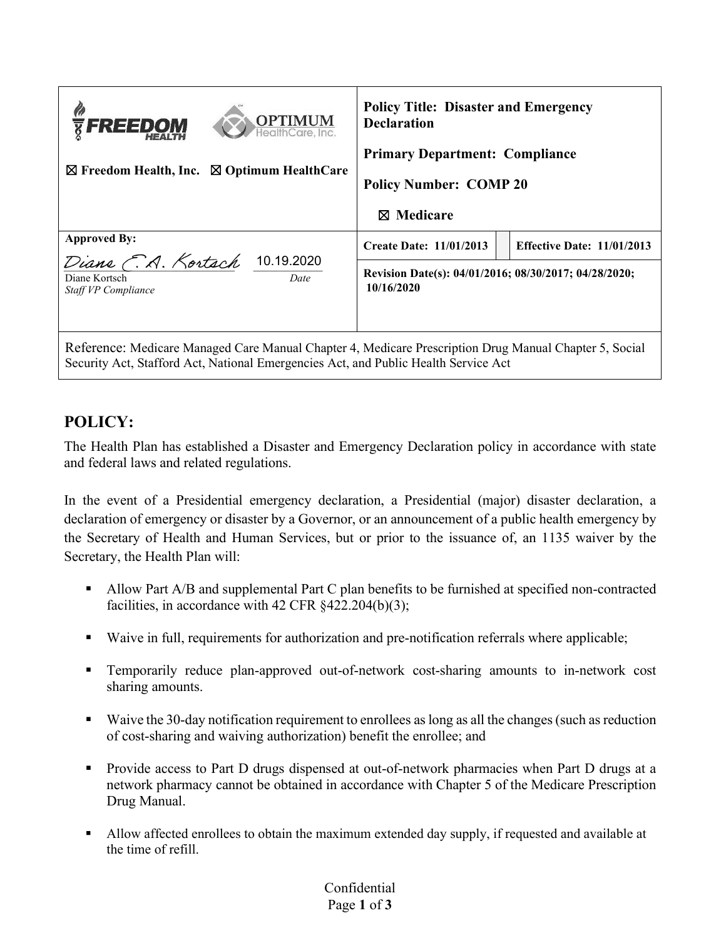| <b>OPTIMUM</b><br><b>TEREEDOM</b><br>$\boxtimes$ Optimum HealthCare<br>$\boxtimes$ Freedom Health, Inc.        | <b>Policy Title: Disaster and Emergency</b><br><b>Declaration</b><br><b>Primary Department: Compliance</b><br><b>Policy Number: COMP 20</b><br>$\boxtimes$ Medicare |                                   |
|----------------------------------------------------------------------------------------------------------------|---------------------------------------------------------------------------------------------------------------------------------------------------------------------|-----------------------------------|
| <b>Approved By:</b><br>Diane C.A. Kortach<br>10.19.2020<br>Diane Kortsch<br>Date<br><b>Staff VP Compliance</b> | <b>Create Date: 11/01/2013</b>                                                                                                                                      | <b>Effective Date: 11/01/2013</b> |
|                                                                                                                | Revision Date(s): 04/01/2016; 08/30/2017; 04/28/2020;<br>10/16/2020                                                                                                 |                                   |
| Reference: Medicare Managed Care Manual Chapter 4, Medicare Prescription Drug Manual Chapter 5, Social         |                                                                                                                                                                     |                                   |

Security Act, Stafford Act, National Emergencies Act, and Public Health Service Act

## **POLICY:**

The Health Plan has established a Disaster and Emergency Declaration policy in accordance with state and federal laws and related regulations.

In the event of a Presidential emergency declaration, a Presidential (major) disaster declaration, a declaration of emergency or disaster by a Governor, or an announcement of a public health emergency by the Secretary of Health and Human Services, but or prior to the issuance of, an 1135 waiver by the Secretary, the Health Plan will:

- Allow Part A/B and supplemental Part C plan benefits to be furnished at specified non-contracted facilities, in accordance with 42 CFR §422.204(b)(3);
- Waive in full, requirements for authorization and pre-notification referrals where applicable;
- Temporarily reduce plan-approved out-of-network cost-sharing amounts to in-network cost sharing amounts.
- Waive the 30-day notification requirement to enrollees as long as all the changes (such as reduction of cost-sharing and waiving authorization) benefit the enrollee; and
- Provide access to Part D drugs dispensed at out-of-network pharmacies when Part D drugs at a network pharmacy cannot be obtained in accordance with Chapter 5 of the Medicare Prescription Drug Manual.
- Allow affected enrollees to obtain the maximum extended day supply, if requested and available at the time of refill.

## Confidential Page **1** of **3**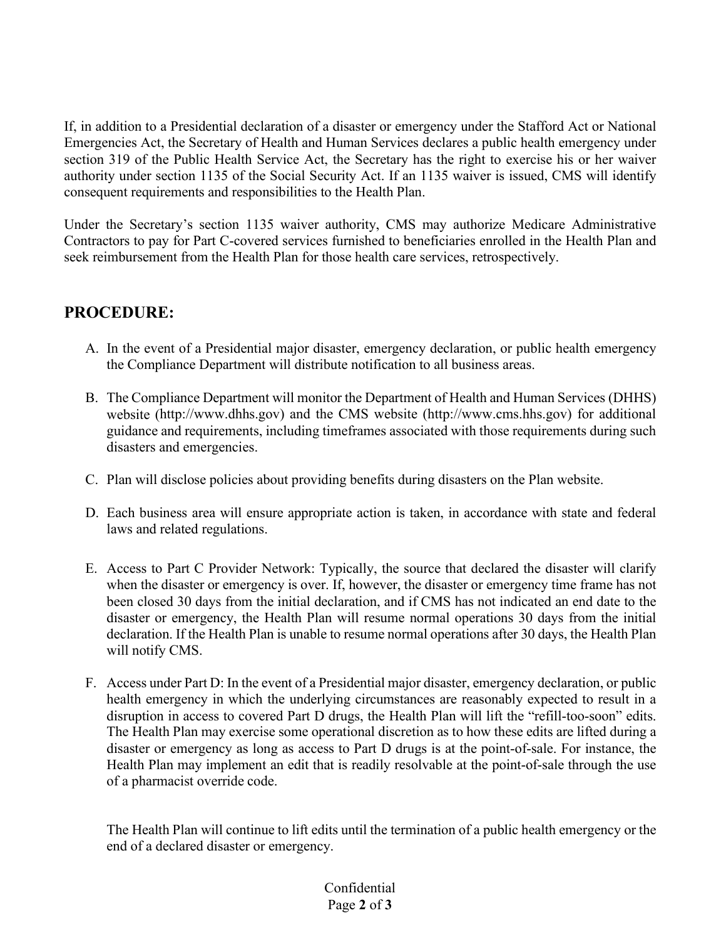If, in addition to a Presidential declaration of a disaster or emergency under the Stafford Act or National Emergencies Act, the Secretary of Health and Human Services declares a public health emergency under section 319 of the Public Health Service Act, the Secretary has the right to exercise his or her waiver authority under section 1135 of the Social Security Act. If an 1135 waiver is issued, CMS will identify consequent requirements and responsibilities to the Health Plan.

Under the Secretary's section 1135 waiver authority, CMS may authorize Medicare Administrative Contractors to pay for Part C-covered services furnished to beneficiaries enrolled in the Health Plan and seek reimbursement from the Health Plan for those health care services, retrospectively.

## **PROCEDURE:**

- A. In the event of a Presidential major disaster, emergency declaration, or public health emergency the Compliance Department will distribute notification to all business areas.
- B. The Compliance Department will monitor the Department of Health and Human Services (DHHS) website (http://www.dhhs.gov) and the CMS website (http://www.cms.hhs.gov) for additional guidance and requirements, including timeframes associated with those requirements during such disasters and emergencies.
- C. Plan will disclose policies about providing benefits during disasters on the Plan website.
- D. Each business area will ensure appropriate action is taken, in accordance with state and federal laws and related regulations.
- E. Access to Part C Provider Network: Typically, the source that declared the disaster will clarify when the disaster or emergency is over. If, however, the disaster or emergency time frame has not been closed 30 days from the initial declaration, and if CMS has not indicated an end date to the disaster or emergency, the Health Plan will resume normal operations 30 days from the initial declaration. If the Health Plan is unable to resume normal operations after 30 days, the Health Plan will notify CMS.
- F. Access under Part D: In the event of a Presidential major disaster, emergency declaration, or public health emergency in which the underlying circumstances are reasonably expected to result in a disruption in access to covered Part D drugs, the Health Plan will lift the "refill-too-soon" edits. The Health Plan may exercise some operational discretion as to how these edits are lifted during a disaster or emergency as long as access to Part D drugs is at the point-of-sale. For instance, the Health Plan may implement an edit that is readily resolvable at the point-of-sale through the use of a pharmacist override code.

The Health Plan will continue to lift edits until the termination of a public health emergency or the end of a declared disaster or emergency.

## Confidential Page **2** of **3**